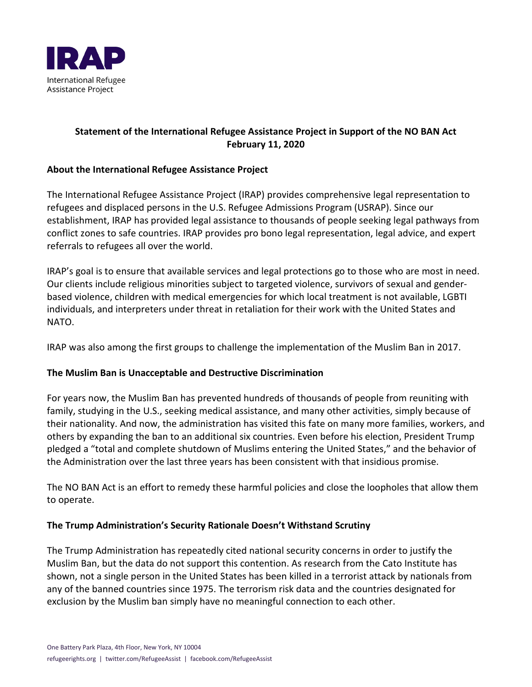

# **Statement of the International Refugee Assistance Project in Support of the NO BAN Act February 11, 2020**

### **About the International Refugee Assistance Project**

The International Refugee Assistance Project (IRAP) provides comprehensive legal representation to refugees and displaced persons in the U.S. Refugee Admissions Program (USRAP). Since our establishment, IRAP has provided legal assistance to thousands of people seeking legal pathways from conflict zones to safe countries. IRAP provides pro bono legal representation, legal advice, and expert referrals to refugees all over the world.

IRAP's goal is to ensure that available services and legal protections go to those who are most in need. Our clients include religious minorities subject to targeted violence, survivors of sexual and genderbased violence, children with medical emergencies for which local treatment is not available, LGBTI individuals, and interpreters under threat in retaliation for their work with the United States and NATO.

IRAP was also among the first groups to challenge the implementation of the Muslim Ban in 2017.

## **The Muslim Ban is Unacceptable and Destructive Discrimination**

For years now, the Muslim Ban has prevented hundreds of thousands of people from reuniting with family, studying in the U.S., seeking medical assistance, and many other activities, simply because of their nationality. And now, the administration has visited this fate on many more families, workers, and others by expanding the ban to an additional six countries. Even before his election, President Trump pledged a "total and complete shutdown of Muslims entering the United States," and the behavior of the Administration over the last three years has been consistent with that insidious promise.

The NO BAN Act is an effort to remedy these harmful policies and close the loopholes that allow them to operate.

#### **The Trump Administration's Security Rationale Doesn't Withstand Scrutiny**

The Trump Administration has repeatedly cited national security concerns in order to justify the Muslim Ban, but the data do not support this contention. As research from the Cato Institute has shown, not a single person in the United States has been killed in a terrorist attack by nationals from any of the banned countries since 1975. The terrorism risk data and the countries designated for exclusion by the Muslim ban simply have no meaningful connection to each other.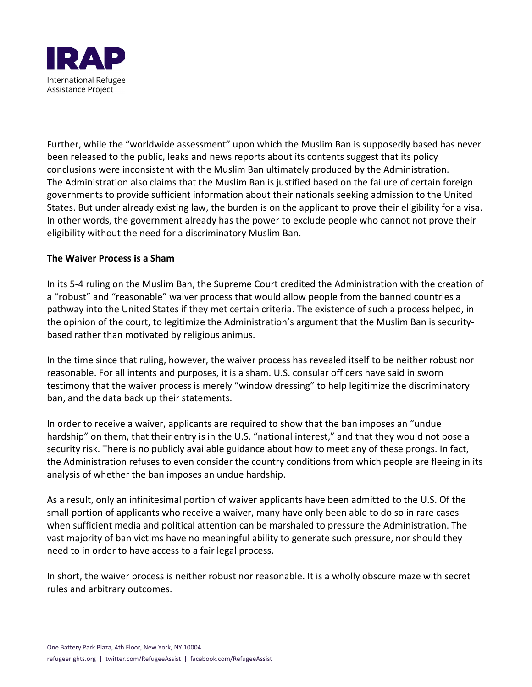

Further, while the "worldwide assessment" upon which the Muslim Ban is supposedly based has never been released to the public, leaks and news reports about its contents suggest that its policy conclusions were inconsistent with the Muslim Ban ultimately produced by the Administration. The Administration also claims that the Muslim Ban is justified based on the failure of certain foreign governments to provide sufficient information about their nationals seeking admission to the United States. But under already existing law, the burden is on the applicant to prove their eligibility for a visa. In other words, the government already has the power to exclude people who cannot not prove their eligibility without the need for a discriminatory Muslim Ban.

#### **The Waiver Process is a Sham**

In its 5-4 ruling on the Muslim Ban, the Supreme Court credited the Administration with the creation of a "robust" and "reasonable" waiver process that would allow people from the banned countries a pathway into the United States if they met certain criteria. The existence of such a process helped, in the opinion of the court, to legitimize the Administration's argument that the Muslim Ban is securitybased rather than motivated by religious animus.

In the time since that ruling, however, the waiver process has revealed itself to be neither robust nor reasonable. For all intents and purposes, it is a sham. U.S. consular officers have said in sworn testimony that the waiver process is merely "window dressing" to help legitimize the discriminatory ban, and the data back up their statements.

In order to receive a waiver, applicants are required to show that the ban imposes an "undue hardship" on them, that their entry is in the U.S. "national interest," and that they would not pose a security risk. There is no publicly available guidance about how to meet any of these prongs. In fact, the Administration refuses to even consider the country conditions from which people are fleeing in its analysis of whether the ban imposes an undue hardship.

As a result, only an infinitesimal portion of waiver applicants have been admitted to the U.S. Of the small portion of applicants who receive a waiver, many have only been able to do so in rare cases when sufficient media and political attention can be marshaled to pressure the Administration. The vast majority of ban victims have no meaningful ability to generate such pressure, nor should they need to in order to have access to a fair legal process.

In short, the waiver process is neither robust nor reasonable. It is a wholly obscure maze with secret rules and arbitrary outcomes.